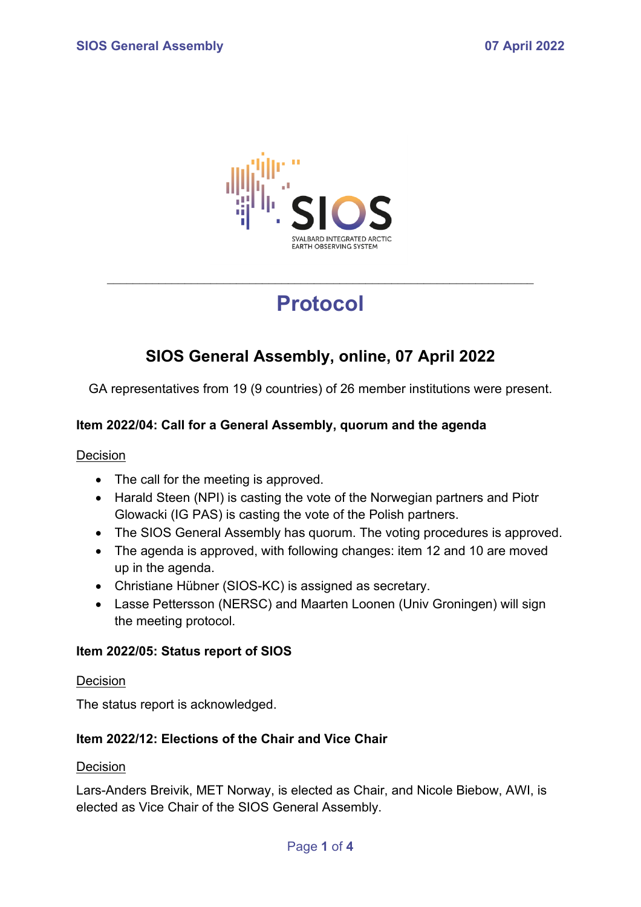

# **Protocol**

\_\_\_\_\_\_\_\_\_\_\_\_\_\_\_\_\_\_\_\_\_\_\_\_\_\_\_\_\_\_\_\_\_\_\_\_\_\_\_\_\_\_\_\_\_\_\_\_\_\_\_\_\_\_\_\_\_\_\_\_\_\_\_\_\_\_

# **SIOS General Assembly, online, 07 April 2022**

GA representatives from 19 (9 countries) of 26 member institutions were present.

# **Item 2022/04: Call for a General Assembly, quorum and the agenda**

#### **Decision**

- The call for the meeting is approved.
- Harald Steen (NPI) is casting the vote of the Norwegian partners and Piotr Glowacki (IG PAS) is casting the vote of the Polish partners.
- The SIOS General Assembly has quorum. The voting procedures is approved.
- The agenda is approved, with following changes: item 12 and 10 are moved up in the agenda.
- Christiane Hübner (SIOS-KC) is assigned as secretary.
- Lasse Pettersson (NERSC) and Maarten Loonen (Univ Groningen) will sign the meeting protocol.

### **Item 2022/05: Status report of SIOS**

#### Decision

The status report is acknowledged.

## **Item 2022/12: Elections of the Chair and Vice Chair**

#### Decision

Lars-Anders Breivik, MET Norway, is elected as Chair, and Nicole Biebow, AWI, is elected as Vice Chair of the SIOS General Assembly.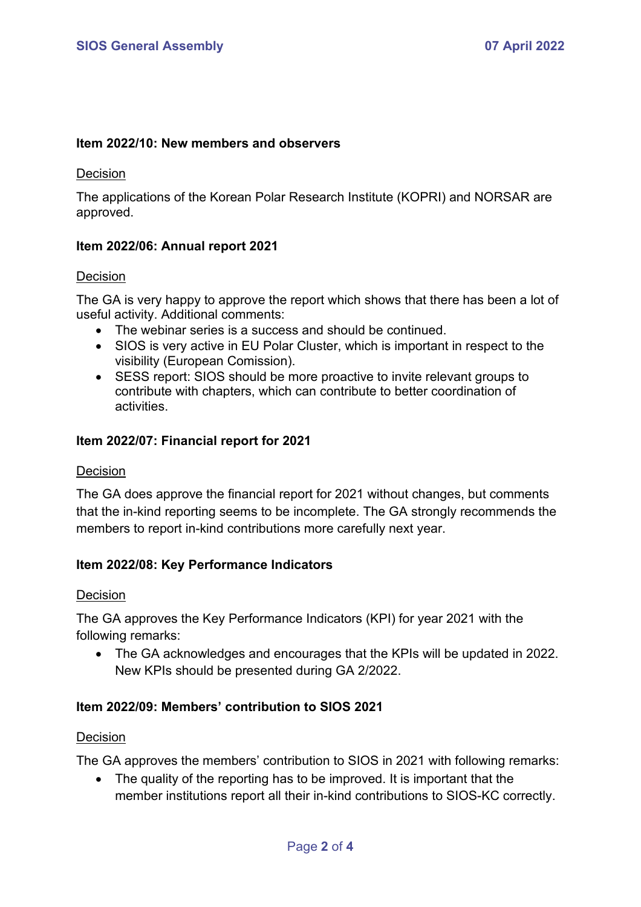#### **Item 2022/10: New members and observers**

#### **Decision**

The applications of the Korean Polar Research Institute (KOPRI) and NORSAR are approved.

#### **Item 2022/06: Annual report 2021**

#### Decision

The GA is very happy to approve the report which shows that there has been a lot of useful activity. Additional comments:

- The webinar series is a success and should be continued.
- SIOS is very active in EU Polar Cluster, which is important in respect to the visibility (European Comission).
- SESS report: SIOS should be more proactive to invite relevant groups to contribute with chapters, which can contribute to better coordination of activities.

#### **Item 2022/07: Financial report for 2021**

#### **Decision**

The GA does approve the financial report for 2021 without changes, but comments that the in-kind reporting seems to be incomplete. The GA strongly recommends the members to report in-kind contributions more carefully next year.

#### **Item 2022/08: Key Performance Indicators**

#### Decision

The GA approves the Key Performance Indicators (KPI) for year 2021 with the following remarks:

• The GA acknowledges and encourages that the KPIs will be updated in 2022. New KPIs should be presented during GA 2/2022.

### **Item 2022/09: Members' contribution to SIOS 2021**

#### Decision

The GA approves the members' contribution to SIOS in 2021 with following remarks:

• The quality of the reporting has to be improved. It is important that the member institutions report all their in-kind contributions to SIOS-KC correctly.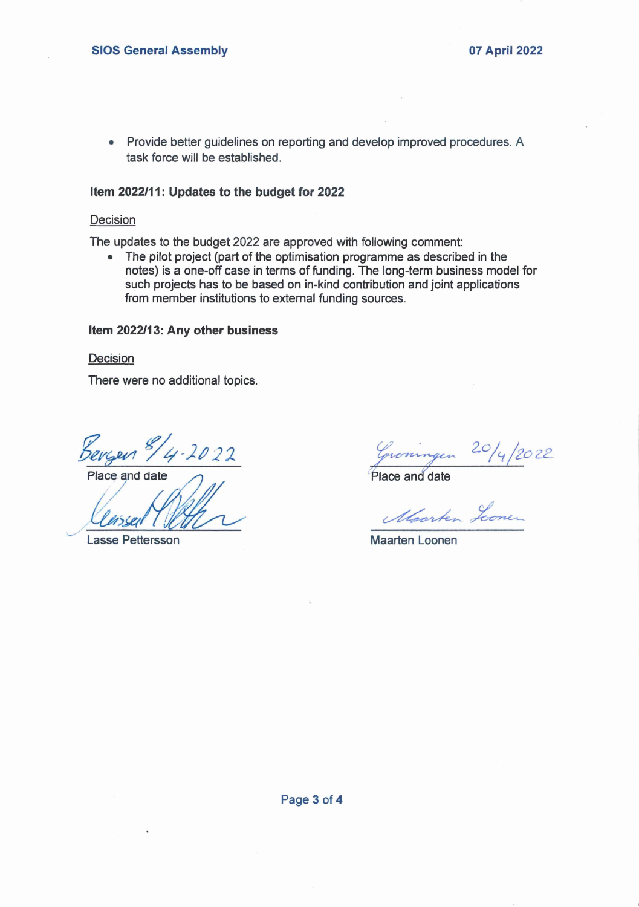• Provide better guidelines on reporting and develop improved procedures. A task force will be established.

#### **Item 2022/11: Updates to the budget for 2022**

#### Decision

The updates to the budget 2022 are approved with following comment;

• The pilot project (part of the optimisation programme as described in the notes) is a one-off case in terms of funding. The long-term business model for such projects has to be based on in-kind contribution and joint applications from member institutions to external funding sources.

#### **Item 2022/13: Any other business**

**Decision** 

There were no additional topics.

Bergen 8/4-2022

Lasse Pettersson Maarten Loonen

 $\frac{\text{Seygen } \text{S/g}$ <br>Place and date <br>Place and date

Marken Lonen